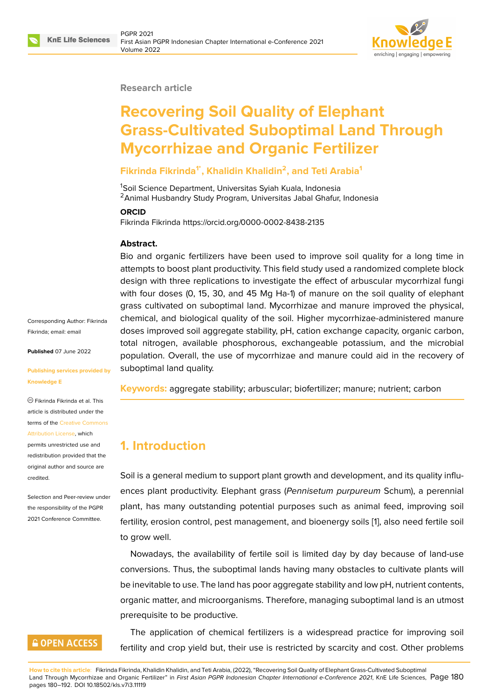

#### **Research article**

# **Recovering Soil Quality of Elephant Grass-Cultivated Suboptimal Land Through Mycorrhizae and Organic Fertilizer**

## **Fikrinda Fikrinda1\*, Khalidin Khalidin<sup>2</sup> , and Teti Arabia<sup>1</sup>**

<sup>1</sup>Soil Science Department, Universitas Syiah Kuala, Indonesia <sup>2</sup> Animal Husbandry Study Program, Universitas Jabal Ghafur, Indonesia

#### **ORCID**

Fikrinda Fikrinda https://orcid.org/0000-0002-8438-2135

#### **Abstract.**

Bio and organic fertilizers have been used to improve soil quality for a long time in attempts to boost plant productivity. This field study used a randomized complete block design with three replications to investigate the effect of arbuscular mycorrhizal fungi with four doses (0, 15, 30, and 45 Mg Ha-1) of manure on the soil quality of elephant grass cultivated on suboptimal land. Mycorrhizae and manure improved the physical, chemical, and biological quality of the soil. Higher mycorrhizae-administered manure doses improved soil aggregate stability, pH, cation exchange capacity, organic carbon, total nitrogen, available phosphorous, exchangeable potassium, and the microbial population. Overall, the use of mycorrhizae and manure could aid in the recovery of suboptimal land quality.

**Keywords:** aggregate stability; arbuscular; biofertilizer; manure; nutrient; carbon

# **1. Introduction**

Soil is a general medium to support plant growth and development, and its quality influences plant productivity. Elephant grass (*Pennisetum purpureum* Schum), a perennial plant, has many outstanding potential purposes such as animal feed, improving soil fertility, erosion control, pest management, and bioenergy soils [1], also need fertile soil to grow well.

Nowadays, the availability of fertile soil is limited day by day because of land-use conversions. Thus, the suboptimal lands having many obstacle[s](#page-6-0) to cultivate plants will be inevitable to use. The land has poor aggregate stability and low pH, nutrient contents, organic matter, and microorganisms. Therefore, managing suboptimal land is an utmost prerequisite to be productive.

The application of chemical fertilizers is a widespread practice for improving soil fertility and crop yield but, their use is restricted by scarcity and cost. Other problems

**GOPEN ACCESS** 

**How to cite this article**: Fikrinda Fikrinda, Khalidin Khalidin, and Teti Arabia, (2022), "Recovering Soil Quality of Elephant Grass-Cultivated Suboptimal Land Through Mycorrhizae and Organic Fertilizer" in *First Asian PGPR Indonesian Chapter International e-Conference 2021*, KnE Life Sciences, Page 180 pages 180–192. DOI 10.18502/kls.v7i3.11119

Corresponding Author: Fikrinda Fikrinda; email: email

**Published** 07 June 2022

#### **Publishing ser[vices p](mailto:email)rovided by Knowledge E**

Fikrinda Fikrinda et al. This article is distributed under the terms of the Creative Commons Attribution License, which permits unrestricted use and

redistribution provided that the original auth[or and source are](https://creativecommons.org/licenses/by/4.0/) [credited.](https://creativecommons.org/licenses/by/4.0/)

Selection and Peer-review under the responsibility of the PGPR 2021 Conference Committee.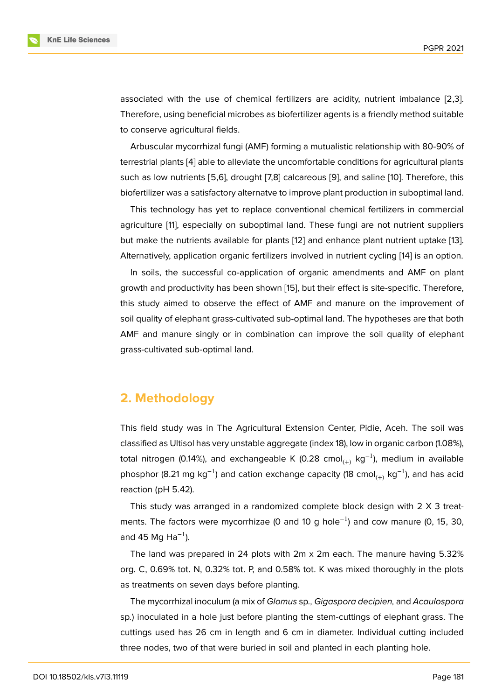associated with the use of chemical fertilizers are acidity, nutrient imbalance [2,3]. Therefore, using beneficial microbes as biofertilizer agents is a friendly method suitable to conserve agricultural fields.

Arbuscular mycorrhizal fungi (AMF) forming a mutualistic relationship with 80-90% of terrestrial plants [4] able to alleviate the uncomfortable conditions for agricultural plants such as low nutrients [5,6], drought [7,8] calcareous [9], and saline [10]. Therefore, this biofertilizer was a satisfactory alternatve to improve plant production in suboptimal land.

This technolo[gy](#page-7-0) has yet to replace conventional chemical fertilizers in commercial agriculture [11], especially on suboptimal land. Thes[e](#page-7-1) fungi are not [nu](#page-7-2)trient suppliers but make the nutrients available for plants [12] and enhance plant nutrient uptake [13]. Alternatively, application organic fertilizers involved in nutrient cycling [14] is an option.

In soils, t[he](#page-7-3) successful co-application of organic amendments and AMF on plant growth and productivity has been shown [1[5\], b](#page-7-4)ut their effect is site-specific. Theref[ore](#page-7-5), this study aimed to observe the effect of AMF and manure on the [imp](#page-7-6)rovement of soil quality of elephant grass-cultivated sub-optimal land. The hypotheses are that both AMF and manure singly or in combinati[on](#page-8-0) can improve the soil quality of elephant grass-cultivated sub-optimal land.

# **2. Methodology**

This field study was in The Agricultural Extension Center, Pidie, Aceh. The soil was classified as Ultisol has very unstable aggregate (index 18), low in organic carbon (1.08%), total nitrogen (0.14%), and exchangeable K (0.28 cmol<sub>(+)</sub> kg<sup>-1</sup>), medium in available phosphor (8.21 mg kg<sup>-1</sup>) and cation exchange capacity (18 cmol<sub>(+)</sub> kg<sup>-1</sup>), and has acid reaction (pH 5.42).

This study was arranged in a randomized complete block design with 2 X 3 treatments. The factors were mycorrhizae (0 and 10 g hole<sup>-1</sup>) and cow manure (0, 15, 30, and 45 Mg Ha<sup>-1</sup>).

The land was prepared in 24 plots with 2m x 2m each. The manure having 5.32% org. C, 0.69% tot. N, 0.32% tot. P, and 0.58% tot. K was mixed thoroughly in the plots as treatments on seven days before planting.

The mycorrhizal inoculum (a mix of *Glomus* sp*., Gigaspora decipien,* and *Acaulospora* sp*.*) inoculated in a hole just before planting the stem-cuttings of elephant grass. The cuttings used has 26 cm in length and 6 cm in diameter. Individual cutting included three nodes, two of that were buried in soil and planted in each planting hole.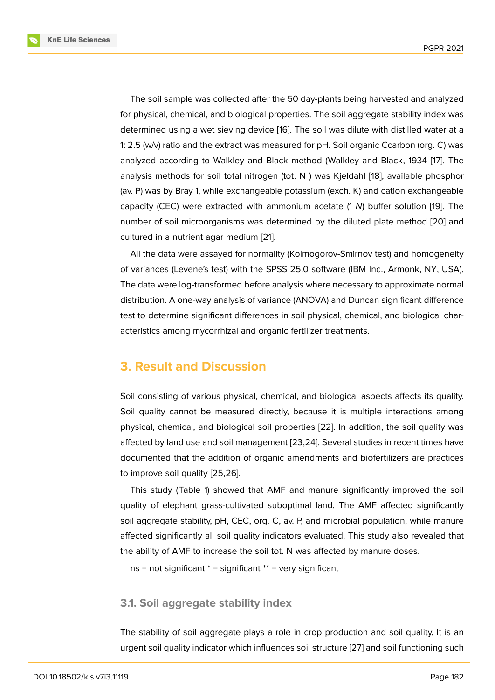The soil sample was collected after the 50 day-plants being harvested and analyzed for physical, chemical, and biological properties. The soil aggregate stability index was determined using a wet sieving device [16]. The soil was dilute with distilled water at a 1: 2.5 (w/v) ratio and the extract was measured for pH. Soil organic Ccarbon (org. C) was analyzed according to Walkley and Black method (Walkley and Black, 1934 [17]. The analysis methods for soil total nitrogen [\(to](#page-8-1)t. N ) was Kjeldahl [18], available phosphor (av. P) was by Bray 1, while exchangeable potassium (exch. K) and cation exchangeable capacity (CEC) were extracted with ammonium acetate (1 *N*) buffer solution [[19](#page-8-2)]. The number of soil microorganisms was determined by the diluted [pl](#page-8-3)ate method [20] and cultured in a nutrient agar medium [21].

All the data were assayed for normality (Kolmogorov-Smirnov test) and hom[oge](#page-8-4)neity of variances (Levene's test) with the SPSS 25.0 software (IBM Inc., Armonk, N[Y, U](#page-8-5)SA). The data were log-transformed befo[re](#page-8-6) analysis where necessary to approximate normal distribution. A one-way analysis of variance (ANOVA) and Duncan significant difference test to determine significant differences in soil physical, chemical, and biological characteristics among mycorrhizal and organic fertilizer treatments.

# **3. Result and Discussion**

Soil consisting of various physical, chemical, and biological aspects affects its quality. Soil quality cannot be measured directly, because it is multiple interactions among physical, chemical, and biological soil properties [22]. In addition, the soil quality was affected by land use and soil management [23,24]. Several studies in recent times have documented that the addition of organic amendments and biofertilizers are practices to improve soil quality [25,26].

This study (Table 1) showed that AMF and manure significantly improved the soil quality of elephant grass-cultivated suboptimal land. The AMF affected significantly soil aggregate stability, pH, CEC, org. C, av. P, and microbial population, while manure affected significantly all soil quality indicators evaluated. This study also revealed that the ability of AMF to increase the soil tot. N was affected by manure doses.

```
ns = not significant * = significant * = very significant
```
#### **3.1. Soil aggregate stability index**

The stability of soil aggregate plays a role in crop production and soil quality. It is an urgent soil quality indicator which influences soil structure [27] and soil functioning such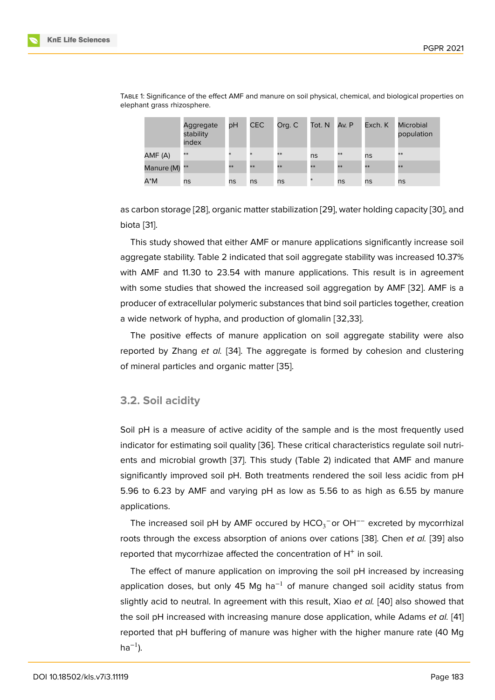|               | Aggregate<br>stability<br>index | рH     | <b>CEC</b> | Org. C | Tot. N | Av. P | Exch. K | <b>Microbial</b><br>population |
|---------------|---------------------------------|--------|------------|--------|--------|-------|---------|--------------------------------|
| AMF (A)       | **                              | $\ast$ | $\ast$     | $**$   | ns     | $**$  | ns      | $**$                           |
| Manure (M) ** |                                 | **     | **         | $**$   | **     | $**$  | **      | $**$                           |
| $A^*M$        | ns                              | ns     | ns         | ns     | $\ast$ | ns    | ns      | ns                             |

Table 1: Significance of the effect AMF and manure on soil physical, chemical, and biological properties on elephant grass rhizosphere.

as carbon storage [28], organic matter stabilization [29], water holding capacity [30], and biota [31].

This study showed that either AMF or manure applications significantly increase soil aggregate stability. [Ta](#page-9-0)ble 2 indicated that soil aggr[ega](#page-9-1)te stability was increase[d 10](#page-9-2).37% with [AM](#page-9-3)F and 11.30 to 23.54 with manure applications. This result is in agreement with some studies that showed the increased soil aggregation by AMF [32]. AMF is a producer of extracellular polymeric substances that bind soil particles together, creation a wide network of hypha, and production of glomalin [32,33].

The positive effects of manure application on soil aggregate stabil[ity](#page-9-4) were also reported by Zhang *et al.* [34]. The aggregate is formed by cohesion and clustering of mineral particles and organic matter [35].

### **3.2. Soil acidity**

Soil pH is a measure of active acidity of the sample and is the most frequently used indicator for estimating soil quality [36]. These critical characteristics regulate soil nutrients and microbial growth [37]. This study (Table 2) indicated that AMF and manure significantly improved soil pH. Both treatments rendered the soil less acidic from pH 5.96 to 6.23 by AMF and varying [pH](#page-9-5) as low as 5.56 to as high as 6.55 by manure applications.

The increased soil pH by AMF occured by  $\mathsf{HCO}_3^-$ or OH<sup>--</sup> excreted by mycorrhizal roots through the excess absorption of anions over cations [38]. Chen *et al.* [39] also reported that mycorrhizae affected the concentration of  $H^+$  in soil.

The effect of manure application on improving the soil pH increased by increasing application doses, but only 45 Mg ha<sup>-1</sup> of manure change[d s](#page-9-6)oil acidity sta[tus](#page-10-0) from slightly acid to neutral. In agreement with this result, Xiao *et al.* [40] also showed that the soil pH increased with increasing manure dose application, while Adams *et al.* [41] reported that pH buffering of manure was higher with the higher manure rate (40 Mg ha $^{-1}$ ).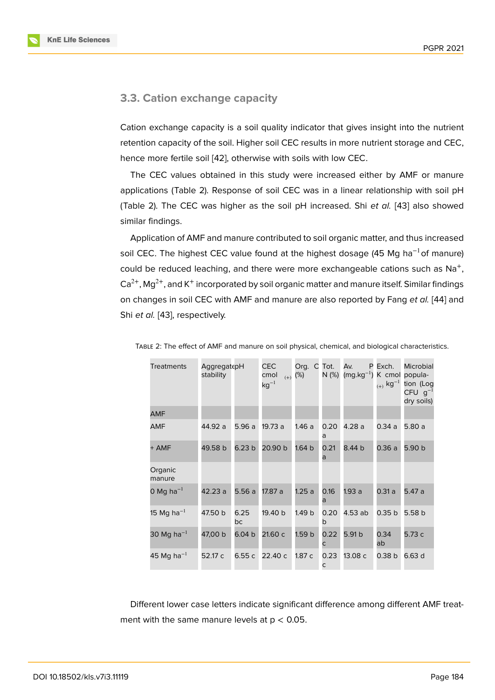### **3.3. Cation exchange capacity**

Cation exchange capacity is a soil quality indicator that gives insight into the nutrient retention capacity of the soil. Higher soil CEC results in more nutrient storage and CEC, hence more fertile soil [42], otherwise with soils with low CEC.

The CEC values obtained in this study were increased either by AMF or manure applications (Table 2). Response of soil CEC was in a linear relationship with soil pH (Table 2). The CEC wa[s h](#page-10-1)igher as the soil pH increased. Shi *et al.* [43] also showed similar findings.

Application of AMF and manure contributed to soil organic matter, and thus increased soil CEC. The highest CEC value found at the highest dosage (45 M[g h](#page-10-2)a<sup>-1</sup>of manure) could be reduced leaching, and there were more exchangeable cations such as  $\text{Na}^+$ , Ca $^{2+}$ , Mg $^{2+}$ , and K<sup>+</sup> incorporated by soil organic matter and manure itself. Similar findings on changes in soil CEC with AMF and manure are also reported by Fang *et al.* [44] and Shi *et al.* [43], respectively.

| <b>Treatments</b>      | AggregatepH<br>stability |                   | <b>CEC</b><br>cmol<br>$(+)$<br>$kg^{-1}$ | Org. C<br>(%)     | Tot.<br>N (%)        | Av.<br>$(mg.kg^{-1})$ | P Exch.<br>$_{(+)}$ kg <sup>-1</sup> | Microbial<br>K cmol popula-<br>tion (Log<br>$CFU$ $g^{-1}$<br>dry soils) |
|------------------------|--------------------------|-------------------|------------------------------------------|-------------------|----------------------|-----------------------|--------------------------------------|--------------------------------------------------------------------------|
| <b>AMF</b>             |                          |                   |                                          |                   |                      |                       |                                      |                                                                          |
| AMF                    | 44.92 a                  | 5.96 a            | 19.73 a                                  | 1.46a             | 0.20<br>a            | 4.28a                 | 0.34a                                | 5.80 a                                                                   |
| + AMF                  | 49.58 b                  | 6.23 <sub>b</sub> | 20.90 b                                  | 1.64 <sub>b</sub> | 0.21<br>a            | 8.44 b                | 0.36a                                | 5.90 b                                                                   |
| Organic<br>manure      |                          |                   |                                          |                   |                      |                       |                                      |                                                                          |
| 0 Mg ha $^{-1}$        | 42.23 a                  | 5.56a             | 17.87 a                                  | 1.25a             | 0.16<br>a            | 1.93 a                | 0.31a                                | 5.47a                                                                    |
| 15 Mg ha <sup>-1</sup> | 47.50 b                  | 6.25<br>bc        | 19.40 b                                  | 1.49 <sub>b</sub> | 0.20<br>b            | 4.53 ab               | 0.35 <sub>b</sub>                    | 5.58 b                                                                   |
| 30 Mg ha $^{-1}$       | 47,00 b                  | 6.04 <sub>b</sub> | 21.60 с                                  | 1.59 b            | 0.22<br>C            | 5.91 b                | 0.34<br>ab                           | 5.73 c                                                                   |
| 45 Mg ha $^{-1}$       | 52.17 c                  | 6.55 c            | 22.40 с                                  | 1.87 c            | 0.23<br>$\mathsf{C}$ | 13.08 c               | 0.38 <sub>b</sub>                    | 6.63 d                                                                   |
|                        |                          |                   |                                          |                   |                      |                       |                                      |                                                                          |

Table 2: The effect of AMF and manure on soil physical, chemical, and biological characteri[stics](#page-10-3).

Different lower case letters indicate significant difference among different AMF treatment with the same manure levels at  $p < 0.05$ .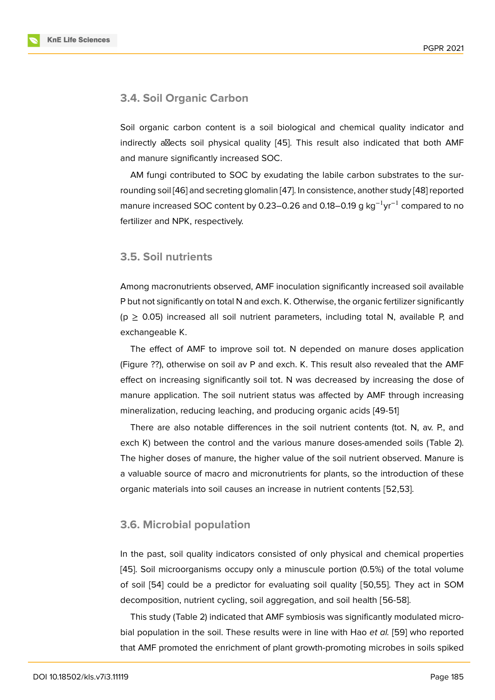### **3.4. Soil Organic Carbon**

Soil organic carbon content is a soil biological and chemical quality indicator and indirectly allects soil physical quality  $[45]$ . This result also indicated that both AMF and manure significantly increased SOC.

AM fungi contributed to SOC by exudating the labile carbon substrates to the surrounding soil [46] and secreting glomali[n \[47](#page-10-4)]. In consistence, another study [48] reported manure increased SOC content by 0.23–0.26 and 0.18–0.19 g kg<sup>-1</sup>yr<sup>-1</sup> compared to no fertilizer and NPK, respectively.

## **3.5. Soil nutrients**

Among macronutrients observed, AMF inoculation significantly increased soil available P but not significantly on total N and exch. K. Otherwise, the organic fertilizer significantly  $(p \ge 0.05)$  increased all soil nutrient parameters, including total N, available P, and exchangeable K.

The effect of AMF to improve soil tot. N depended on manure doses application (Figure ??), otherwise on soil av P and exch. K. This result also revealed that the AMF effect on increasing significantly soil tot. N was decreased by increasing the dose of manure application. The soil nutrient status was affected by AMF through increasing mineralization, reducing leaching, and producing organic acids [49-51]

There are also notable differences in the soil nutrient contents (tot. N, av. P., and exch K) between the control and the various manure doses-amended soils (Table 2). The higher doses of manure, the higher value of the soil nutrient observed. Manure is a valuable source of macro and micronutrients for plants, so the introduction of these organic materials into soil causes an increase in nutrient contents [52,53].

## **3.6. Microbial population**

In the past, soil quality indicators consisted of only physical and chemical properties [45]. Soil microorganisms occupy only a minuscule portion (0.5%) of the total volume of soil [54] could be a predictor for evaluating soil quality [50,55]. They act in SOM decomposition, nutrient cycling, soil aggregation, and soil health [56-58].

[T](#page-10-4)his study (Table 2) indicated that AMF symbiosis was significantly modulated microbial po[pula](#page-11-0)tion in the soil. These results were in line with Hao *et al.* [59] who reported that AMF promoted the enrichment of plant growth-promoting microbes in soils spiked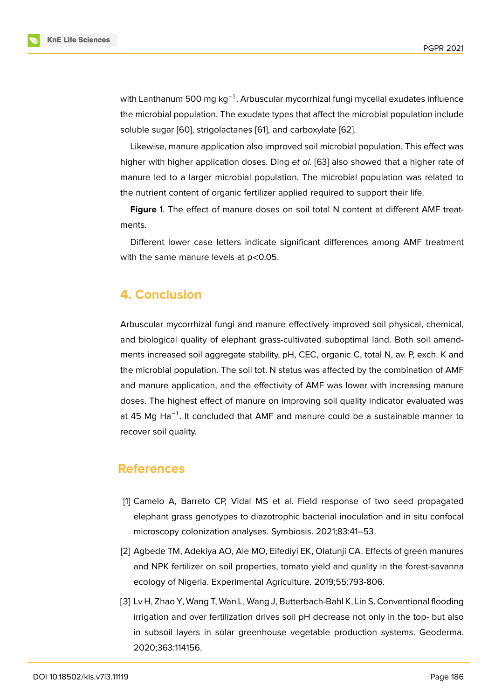with Lanthanum 500 mg kg<sup>-1</sup>. Arbuscular mycorrhizal fungi mycelial exudates influence the microbial population. The exudate types that affect the microbial population include soluble sugar [60], strigolactanes [61], and carboxylate [62].

Likewise, manure application also improved soil microbial population. This effect was higher with higher application doses. Ding *et al.* [63] also showed that a higher rate of manure led to [a l](#page-11-1)arger microbial [pop](#page-11-2)ulation. The micr[obia](#page-12-0)l population was related to the nutrient content of organic fertilizer applied required to support their life.

**Figure** 1. The effect of manure doses on soil t[ota](#page-12-1)l N content at different AMF treatments.

Different lower case letters indicate significant differences among AMF treatment with the same manure levels at  $p<0.05$ .

# **4. Conclusion**

Arbuscular mycorrhizal fungi and manure effectively improved soil physical, chemical, and biological quality of elephant grass-cultivated suboptimal land. Both soil amendments increased soil aggregate stability, pH, CEC, organic C, total N, av. P, exch. K and the microbial population. The soil tot. N status was affected by the combination of AMF and manure application, and the effectivity of AMF was lower with increasing manure doses. The highest effect of manure on improving soil quality indicator evaluated was at 45 Mg Ha<sup>-1</sup>. It concluded that AMF and manure could be a sustainable manner to recover soil quality.

# **References**

- [1] Camelo A, Barreto CP, Vidal MS et al. Field response of two seed propagated elephant grass genotypes to diazotrophic bacterial inoculation and in situ confocal microscopy colonization analyses. Symbiosis. 2021;83:41–53.
- <span id="page-6-0"></span>[2] Agbede TM, Adekiya AO, Ale MO, Eifediyi EK, Olatunji CA. Effects of green manures and NPK fertilizer on soil properties, tomato yield and quality in the forest-savanna ecology of Nigeria. Experimental Agriculture. 2019;55:793-806.
- [3] Lv H, Zhao Y, Wang T, Wan L, Wang J, Butterbach-Bahl K, Lin S. Conventional flooding irrigation and over fertilization drives soil pH decrease not only in the top- but also in subsoil layers in solar greenhouse vegetable production systems. Geoderma. 2020;363:114156.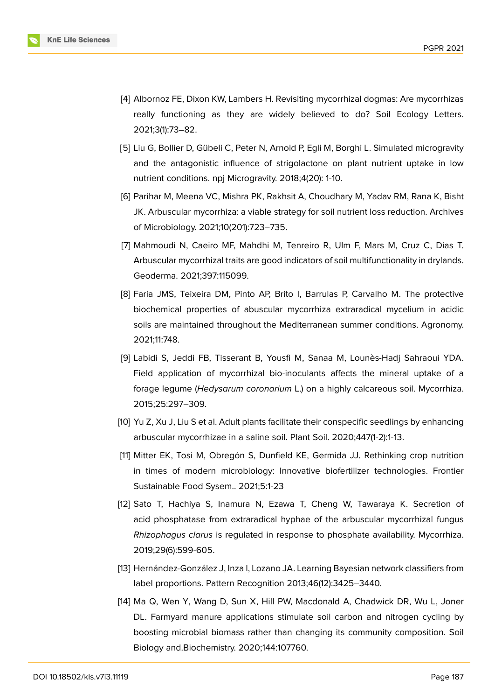

- <span id="page-7-0"></span>[4] Albornoz FE, Dixon KW, Lambers H. Revisiting mycorrhizal dogmas: Are mycorrhizas really functioning as they are widely believed to do? Soil Ecology Letters. 2021;3(1):73–82.
- [5] Liu G, Bollier D, Gübeli C, Peter N, Arnold P, Egli M, Borghi L. Simulated microgravity and the antagonistic influence of strigolactone on plant nutrient uptake in low nutrient conditions. npj Microgravity. 2018;4(20): 1-10.
- [6] Parihar M, Meena VC, Mishra PK, Rakhsit A, Choudhary M, Yadav RM, Rana K, Bisht JK. Arbuscular mycorrhiza: a viable strategy for soil nutrient loss reduction. Archives of Microbiology. 2021;10(201):723–735.
- [7] Mahmoudi N, Caeiro MF, Mahdhi M, Tenreiro R, Ulm F, Mars M, Cruz C, Dias T. Arbuscular mycorrhizal traits are good indicators of soil multifunctionality in drylands. Geoderma. 2021;397:115099.
- [8] Faria JMS, Teixeira DM, Pinto AP, Brito I, Barrulas P, Carvalho M. The protective biochemical properties of abuscular mycorrhiza extraradical mycelium in acidic soils are maintained throughout the Mediterranean summer conditions. Agronomy. 2021;11:748.
- <span id="page-7-1"></span>[9] Labidi S, Jeddi FB, Tisserant B, Yousfi M, Sanaa M, Lounès-Hadj Sahraoui YDA. Field application of mycorrhizal bio-inoculants affects the mineral uptake of a forage legume (*Hedysarum coronarium* L.) on a highly calcareous soil. Mycorrhiza. 2015;25:297–309.
- <span id="page-7-2"></span>[10] Yu Z, Xu J, Liu S et al. Adult plants facilitate their conspecific seedlings by enhancing arbuscular mycorrhizae in a saline soil. Plant Soil. 2020;447(1-2):1-13.
- <span id="page-7-3"></span>[11] Mitter EK, Tosi M, Obregón S, Dunfield KE, Germida JJ. Rethinking crop nutrition in times of modern microbiology: Innovative biofertilizer technologies. Frontier Sustainable Food Sysem.. 2021;5:1-23
- <span id="page-7-4"></span>[12] Sato T, Hachiya S, Inamura N, Ezawa T, Cheng W, Tawaraya K. Secretion of acid phosphatase from extraradical hyphae of the arbuscular mycorrhizal fungus *Rhizophagus clarus* is regulated in response to phosphate availability. Mycorrhiza. 2019;29(6):599-605.
- <span id="page-7-5"></span>[13] Hernández-González J, Inza I, Lozano JA. Learning Bayesian network classifiers from label proportions. Pattern Recognition 2013;46(12):3425–3440.
- <span id="page-7-6"></span>[14] Ma Q, Wen Y, Wang D, Sun X, Hill PW, Macdonald A, Chadwick DR, Wu L, Joner DL. Farmyard manure applications stimulate soil carbon and nitrogen cycling by boosting microbial biomass rather than changing its community composition. Soil Biology and.Biochemistry. 2020;144:107760.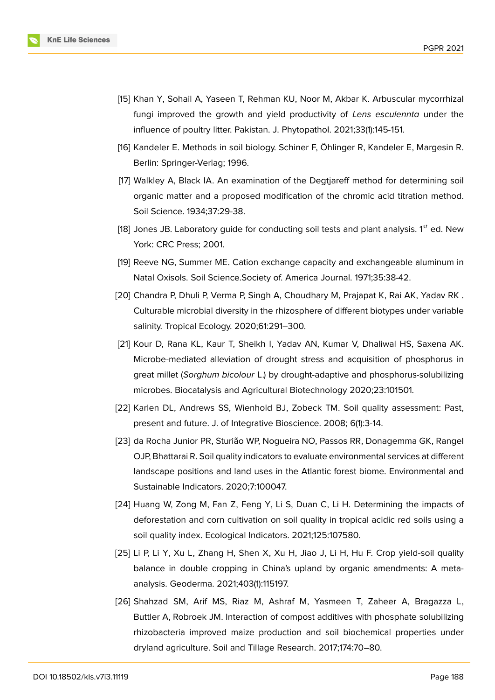

- <span id="page-8-0"></span>[15] Khan Y, Sohail A, Yaseen T, Rehman KU, Noor M, Akbar K. Arbuscular mycorrhizal fungi improved the growth and yield productivity of *Lens esculennta* under the influence of poultry litter. Pakistan. J. Phytopathol. 2021;33(1):145-151.
- <span id="page-8-1"></span>[16] Kandeler E. Methods in soil biology. Schiner F, Öhlinger R, Kandeler E, Margesin R. Berlin: Springer-Verlag; 1996.
- <span id="page-8-2"></span>[17] Walkley A, Black IA. An examination of the Degtjareff method for determining soil organic matter and a proposed modification of the chromic acid titration method. Soil Science. 1934;37:29-38.
- <span id="page-8-3"></span>[18] Jones JB. Laboratory guide for conducting soil tests and plant analysis.  $1<sup>st</sup>$  ed. New York: CRC Press; 2001.
- <span id="page-8-4"></span>[19] Reeve NG, Summer ME. Cation exchange capacity and exchangeable aluminum in Natal Oxisols. Soil Science.Society of. America Journal. 1971;35:38-42.
- <span id="page-8-5"></span>[20] Chandra P, Dhuli P, Verma P, Singh A, Choudhary M, Prajapat K, Rai AK, Yadav RK . Culturable microbial diversity in the rhizosphere of different biotypes under variable salinity. Tropical Ecology. 2020;61:291–300.
- <span id="page-8-6"></span>[21] Kour D, Rana KL, Kaur T, Sheikh I, Yadav AN, Kumar V, Dhaliwal HS, Saxena AK. Microbe-mediated alleviation of drought stress and acquisition of phosphorus in great millet (*Sorghum bicolour* L.) by drought-adaptive and phosphorus-solubilizing microbes. Biocatalysis and Agricultural Biotechnology 2020;23:101501.
- [22] Karlen DL, Andrews SS, Wienhold BJ, Zobeck TM. Soil quality assessment: Past, present and future. J. of Integrative Bioscience. 2008; 6(1):3-14.
- [23] da Rocha Junior PR, Sturião WP, Nogueira NO, Passos RR, Donagemma GK, Rangel OJP, Bhattarai R. Soil quality indicators to evaluate environmental services at different landscape positions and land uses in the Atlantic forest biome. Environmental and Sustainable Indicators. 2020;7:100047.
- [24] Huang W, Zong M, Fan Z, Feng Y, Li S, Duan C, Li H. Determining the impacts of deforestation and corn cultivation on soil quality in tropical acidic red soils using a soil quality index. Ecological Indicators. 2021;125:107580.
- [25] Li P, Li Y, Xu L, Zhang H, Shen X, Xu H, Jiao J, Li H, Hu F. Crop yield-soil quality balance in double cropping in China's upland by organic amendments: A metaanalysis. Geoderma. 2021;403(1):115197.
- [26] Shahzad SM, Arif MS, Riaz M, Ashraf M, Yasmeen T, Zaheer A, Bragazza L, Buttler A, Robroek JM. Interaction of compost additives with phosphate solubilizing rhizobacteria improved maize production and soil biochemical properties under dryland agriculture. Soil and Tillage Research. 2017;174:70–80.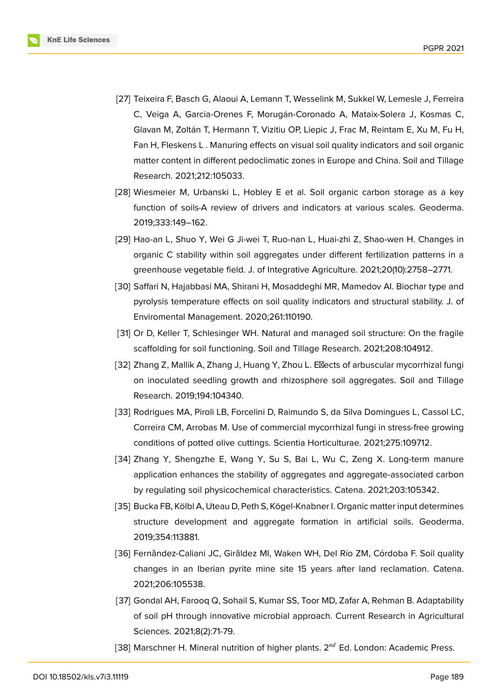

- [27] Teixeira F, Basch G, Alaoui A, Lemann T, Wesselink M, Sukkel W, Lemesle J, Ferreira C, Veiga A, Garcia-Orenes F, Morugán-Coronado A, Mataix-Solera J, Kosmas C, Glavan M, Zoltán T, Hermann T, Vizitiu OP, Liepic J, Frac M, Reintam E, Xu M, Fu H, Fan H, Fleskens L . Manuring effects on visual soil quality indicators and soil organic matter content in different pedoclimatic zones in Europe and China. Soil and Tillage Research. 2021;212:105033.
- <span id="page-9-0"></span>[28] Wiesmeier M, Urbanski L, Hobley E et al. Soil organic carbon storage as a key function of soils-A review of drivers and indicators at various scales. Geoderma. 2019;333:149–162.
- <span id="page-9-1"></span>[29] Hao-an L, Shuo Y, Wei G Ji-wei T, Ruo-nan L, Huai-zhi Z, Shao-wen H. Changes in organic C stability within soil aggregates under different fertilization patterns in a greenhouse vegetable field. J. of Integrative Agriculture. 2021;20(10):2758–2771.
- <span id="page-9-2"></span>[30] Saffari N, Hajabbasi MA, Shirani H, Mosaddeghi MR, Mamedov AI. Biochar type and pyrolysis temperature effects on soil quality indicators and structural stability. J. of Enviromental Management. 2020;261:110190.
- <span id="page-9-3"></span>[31] Or D, Keller T, Schlesinger WH. Natural and managed soil structure: On the fragile scaffolding for soil functioning. Soil and Tillage Research. 2021;208:104912.
- <span id="page-9-4"></span>[32] Zhang Z, Mallik A, Zhang J, Huang Y, Zhou L. Ellects of arbuscular mycorrhizal fungi on inoculated seedling growth and rhizosphere soil aggregates. Soil and Tillage Research. 2019;194:104340.
- [33] Rodrigues MA, Piroli LB, Forcelini D, Raimundo S, da Silva Domingues L, Cassol LC, Correira CM, Arrobas M. Use of commercial mycorrhizal fungi in stress-free growing conditions of potted olive cuttings. Scientia Horticulturae. 2021;275:109712.
- [34] Zhang Y, Shengzhe E, Wang Y, Su S, Bai L, Wu C, Zeng X. Long-term manure application enhances the stability of aggregates and aggregate-associated carbon by regulating soil physicochemical characteristics. Catena. 2021;203:105342.
- [35] Bucka FB, Kölbl A, Uteau D, Peth S, Kögel-Knabner I. Organic matter input determines structure development and aggregate formation in artificial soils. Geoderma. 2019;354:113881.
- <span id="page-9-5"></span>[36] Fernãndez-Caliani JC, Girãldez MI, Waken WH, Del Río ZM, Córdoba F. Soil quality changes in an Iberian pyrite mine site 15 years after land reclamation. Catena. 2021;206:105538.
- [37] Gondal AH, Farooq Q, Sohail S, Kumar SS, Toor MD, Zafar A, Rehman B. Adaptability of soil pH through innovative microbial approach. Current Research in Agricultural Sciences. 2021;8(2):71-79.
- <span id="page-9-6"></span>[38] Marschner H. Mineral nutrition of higher plants.  $2^{nd}$  Ed. London: Academic Press.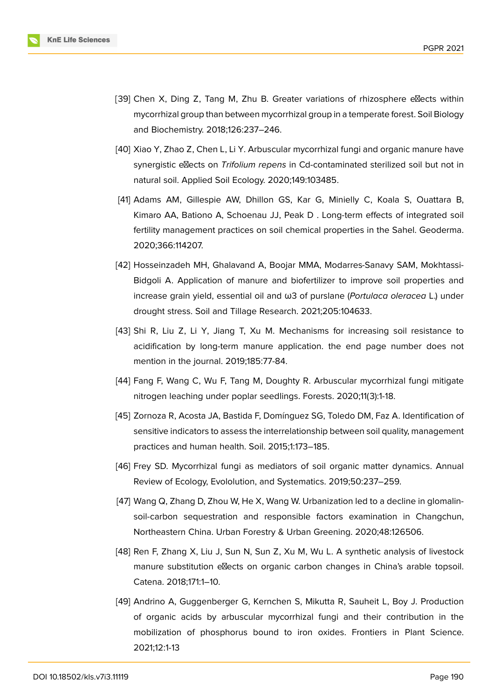

- <span id="page-10-0"></span>[39] Chen X, Ding Z, Tang M, Zhu B. Greater variations of rhizosphere e $\mathbb Z$ ects within mycorrhizal group than between mycorrhizal group in a temperate forest. Soil Biology and Biochemistry. 2018;126:237–246.
- [40] Xiao Y, Zhao Z, Chen L, Li Y. Arbuscular mycorrhizal fungi and organic manure have synergistic ellects on *Trifolium repens* in Cd-contaminated sterilized soil but not in natural soil. Applied Soil Ecology. 2020;149:103485.
- [41] Adams AM, Gillespie AW, Dhillon GS, Kar G, Minielly C, Koala S, Ouattara B, Kimaro AA, Bationo A, Schoenau JJ, Peak D . Long-term effects of integrated soil fertility management practices on soil chemical properties in the Sahel. Geoderma. 2020;366:114207.
- <span id="page-10-1"></span>[42] Hosseinzadeh MH, Ghalavand A, Boojar MMA, Modarres-Sanavy SAM, Mokhtassi-Bidgoli A. Application of manure and biofertilizer to improve soil properties and increase grain yield, essential oil and ω3 of purslane (*Portulaca oleracea* L.) under drought stress. Soil and Tillage Research. 2021;205:104633.
- <span id="page-10-2"></span>[43] Shi R, Liu Z, Li Y, Jiang T, Xu M. Mechanisms for increasing soil resistance to acidification by long-term manure application. the end page number does not mention in the journal. 2019;185:77-84.
- <span id="page-10-3"></span>[44] Fang F, Wang C, Wu F, Tang M, Doughty R. Arbuscular mycorrhizal fungi mitigate nitrogen leaching under poplar seedlings. Forests. 2020;11(3):1-18.
- <span id="page-10-4"></span>[45] Zornoza R, Acosta JA, Bastida F, Domínguez SG, Toledo DM, Faz A. Identification of sensitive indicators to assess the interrelationship between soil quality, management practices and human health. Soil. 2015;1:173–185.
- [46] Frey SD. Mycorrhizal fungi as mediators of soil organic matter dynamics. Annual Review of Ecology, Evololution, and Systematics. 2019;50:237–259.
- [47] Wang Q, Zhang D, Zhou W, He X, Wang W. Urbanization led to a decline in glomalinsoil-carbon sequestration and responsible factors examination in Changchun, Northeastern China. Urban Forestry & Urban Greening. 2020;48:126506.
- [48] Ren F, Zhang X, Liu J, Sun N, Sun Z, Xu M, Wu L. A synthetic analysis of livestock manure substitution elects on organic carbon changes in China's arable topsoil. Catena. 2018;171:1–10.
- [49] Andrino A, Guggenberger G, Kernchen S, Mikutta R, Sauheit L, Boy J. Production of organic acids by arbuscular mycorrhizal fungi and their contribution in the mobilization of phosphorus bound to iron oxides. Frontiers in Plant Science. 2021;12:1-13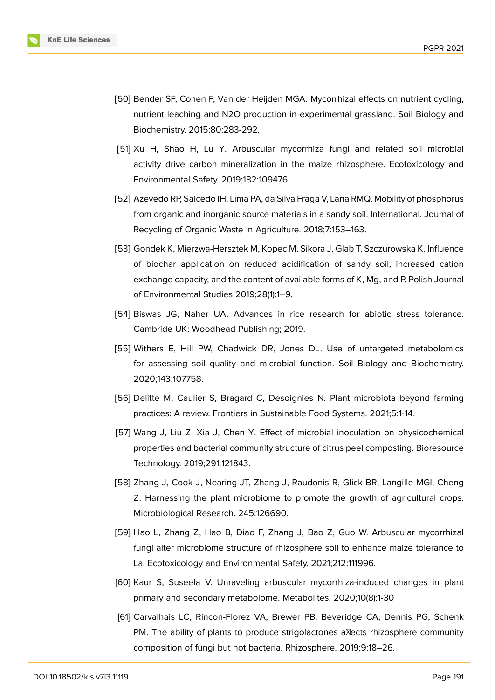

- [50] Bender SF, Conen F, Van der Heijden MGA. Mycorrhizal effects on nutrient cycling, nutrient leaching and N2O production in experimental grassland. Soil Biology and Biochemistry. 2015;80:283-292.
- [51] Xu H, Shao H, Lu Y. Arbuscular mycorrhiza fungi and related soil microbial activity drive carbon mineralization in the maize rhizosphere. Ecotoxicology and Environmental Safety. 2019;182:109476.
- [52] Azevedo RP, Salcedo IH, Lima PA, da Silva Fraga V, Lana RMQ. Mobility of phosphorus from organic and inorganic source materials in a sandy soil. International. Journal of Recycling of Organic Waste in Agriculture. 2018;7:153–163.
- [53] Gondek K, Mierzwa-Hersztek M, Kopec M, Sikora J, Glab T, Szczurowska K. Influence of biochar application on reduced acidification of sandy soil, increased cation exchange capacity, and the content of available forms of K, Mg, and P. Polish Journal of Environmental Studies 2019;28(1):1–9.
- <span id="page-11-0"></span>[54] Biswas JG, Naher UA. Advances in rice research for abiotic stress tolerance. Cambride UK: Woodhead Publishing; 2019.
- [55] Withers E, Hill PW, Chadwick DR, Jones DL. Use of untargeted metabolomics for assessing soil quality and microbial function. Soil Biology and Biochemistry. 2020;143:107758.
- [56] Delitte M, Caulier S, Bragard C, Desoignies N. Plant microbiota beyond farming practices: A review. Frontiers in Sustainable Food Systems. 2021;5:1-14.
- [57] Wang J, Liu Z, Xia J, Chen Y. Effect of microbial inoculation on physicochemical properties and bacterial community structure of citrus peel composting. Bioresource Technology. 2019;291:121843.
- [58] Zhang J, Cook J, Nearing JT, Zhang J, Raudonis R, Glick BR, Langille MGI, Cheng Z. Harnessing the plant microbiome to promote the growth of agricultural crops. Microbiological Research. 245:126690.
- [59] Hao L, Zhang Z, Hao B, Diao F, Zhang J, Bao Z, Guo W. Arbuscular mycorrhizal fungi alter microbiome structure of rhizosphere soil to enhance maize tolerance to La. Ecotoxicology and Environmental Safety. 2021;212:111996.
- <span id="page-11-1"></span>[60] Kaur S, Suseela V. Unraveling arbuscular mycorrhiza-induced changes in plant primary and secondary metabolome. Metabolites. 2020;10(8):1-30
- <span id="page-11-2"></span>[61] Carvalhais LC, Rincon-Florez VA, Brewer PB, Beveridge CA, Dennis PG, Schenk PM. The ability of plants to produce strigolactones allects rhizosphere community composition of fungi but not bacteria. Rhizosphere. 2019;9:18–26.